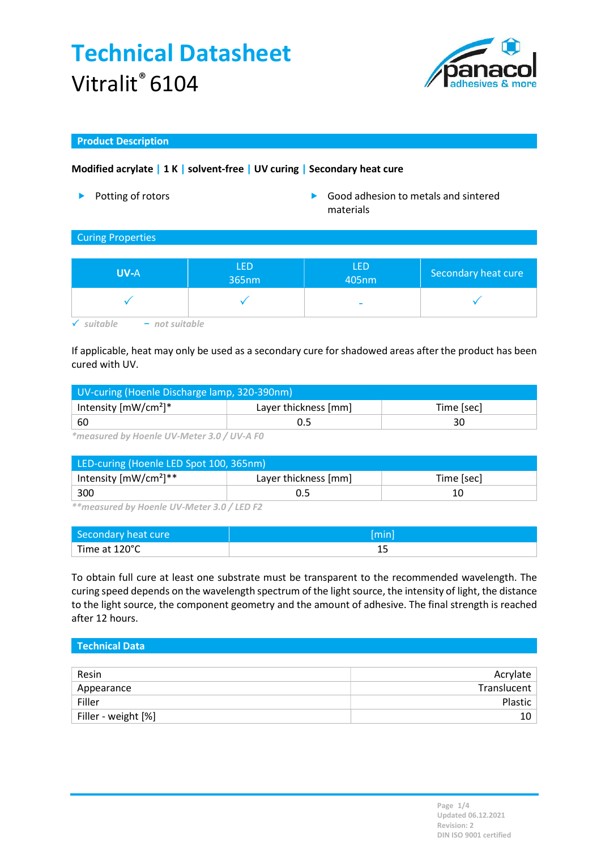# Technical Datasheet Vitralit® 6104



### Product Description

## Modified acrylate | 1 K | solvent-free | UV curing | Secondary heat cure

- 
- ▶ Potting of rotors **Department of the Cool** adhesion to metals and sintered materials

### Curing Properties

| <b>UV-A</b>                    | LED<br>365nm | <b>LED</b><br>405nm      | Secondary heat cure |
|--------------------------------|--------------|--------------------------|---------------------|
|                                |              | $\overline{\phantom{a}}$ |                     |
| $-$ not suitable<br>auitable : |              |                          |                     |

If applicable, heat may only be used as a secondary cure for shadowed areas after the product has been cured with UV.

| UV-curing (Hoenle Discharge lamp, 320-390nm) |                      |            |  |  |
|----------------------------------------------|----------------------|------------|--|--|
| Intensity $[mW/cm^2]^*$                      | Layer thickness [mm] | Time [sec] |  |  |
| ' 60                                         |                      |            |  |  |

\*measured by Hoenle UV-Meter 3.0 / UV-A F0

| LED-curing (Hoenle LED Spot 100, 365nm) |                      |            |  |  |
|-----------------------------------------|----------------------|------------|--|--|
| Intensity $[mW/cm^2]^{**}$              | Layer thickness [mm] | Time [sec] |  |  |
| 300                                     |                      |            |  |  |

\*\*measured by Hoenle UV-Meter 3.0 / LED F2

| Secondary heat cure | [min] |
|---------------------|-------|
| Time at 120°C       |       |

To obtain full cure at least one substrate must be transparent to the recommended wavelength. The curing speed depends on the wavelength spectrum of the light source, the intensity of light, the distance to the light source, the component geometry and the amount of adhesive. The final strength is reached after 12 hours.

| Technical Data |  |  |  |
|----------------|--|--|--|
|                |  |  |  |

| Resin               | Acrylate    |
|---------------------|-------------|
| Appearance          | Translucent |
| Filler              | Plastic     |
| Filler - weight [%] |             |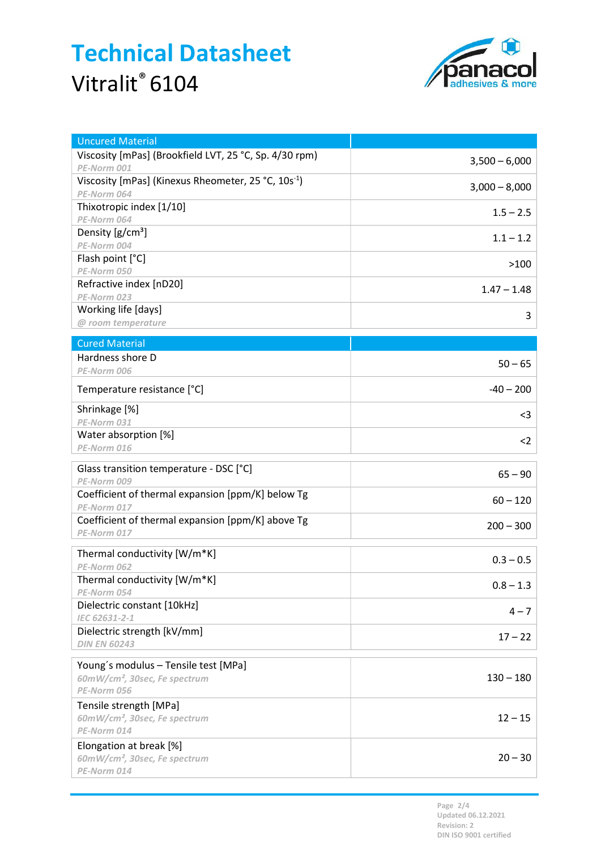# Technical Datasheet Vitralit<sup>®</sup> 6104



| <b>Uncured Material</b>                                          |                 |
|------------------------------------------------------------------|-----------------|
| Viscosity [mPas] (Brookfield LVT, 25 °C, Sp. 4/30 rpm)           | $3,500 - 6,000$ |
| PE-Norm 001                                                      |                 |
| Viscosity [mPas] (Kinexus Rheometer, 25 °C, 10s <sup>-1</sup> )  | $3,000 - 8,000$ |
| PE-Norm 064<br>Thixotropic index [1/10]                          |                 |
| PE-Norm 064                                                      | $1.5 - 2.5$     |
| Density $[g/cm^3]$                                               |                 |
| PE-Norm 004                                                      | $1.1 - 1.2$     |
| Flash point [°C]                                                 | >100            |
| PE-Norm 050                                                      |                 |
| Refractive index [nD20]                                          | $1.47 - 1.48$   |
| PE-Norm 023                                                      |                 |
| Working life [days]<br>@ room temperature                        | 3               |
|                                                                  |                 |
| <b>Cured Material</b>                                            |                 |
| Hardness shore D                                                 | $50 - 65$       |
| PE-Norm 006                                                      |                 |
| Temperature resistance [°C]                                      | $-40 - 200$     |
| Shrinkage [%]                                                    | $3$             |
| PE-Norm 031                                                      |                 |
| Water absorption [%]                                             | $2$             |
| PE-Norm 016                                                      |                 |
| Glass transition temperature - DSC [°C]                          | $65 - 90$       |
| PE-Norm 009                                                      |                 |
| Coefficient of thermal expansion [ppm/K] below Tg                | $60 - 120$      |
| PE-Norm 017                                                      |                 |
| Coefficient of thermal expansion [ppm/K] above Tg<br>PE-Norm 017 | $200 - 300$     |
|                                                                  |                 |
| Thermal conductivity [W/m*K]                                     | $0.3 - 0.5$     |
| PE-Norm 062                                                      |                 |
| Thermal conductivity [W/m*K]                                     | $0.8 - 1.3$     |
| PE-Norm 054<br>Dielectric constant [10kHz]                       |                 |
| IEC 62631-2-1                                                    | $4 - 7$         |
| Dielectric strength [kV/mm]                                      |                 |
| <b>DIN EN 60243</b>                                              | $17 - 22$       |
| Young's modulus - Tensile test [MPa]                             |                 |
| 60mW/cm <sup>2</sup> , 30sec, Fe spectrum                        | $130 - 180$     |
| PE-Norm 056                                                      |                 |
| Tensile strength [MPa]                                           |                 |
| 60mW/cm <sup>2</sup> , 30sec, Fe spectrum                        | $12 - 15$       |
| PE-Norm 014                                                      |                 |
| Elongation at break [%]                                          |                 |
| 60mW/cm <sup>2</sup> , 30sec, Fe spectrum                        | $20 - 30$       |
| PE-Norm 014                                                      |                 |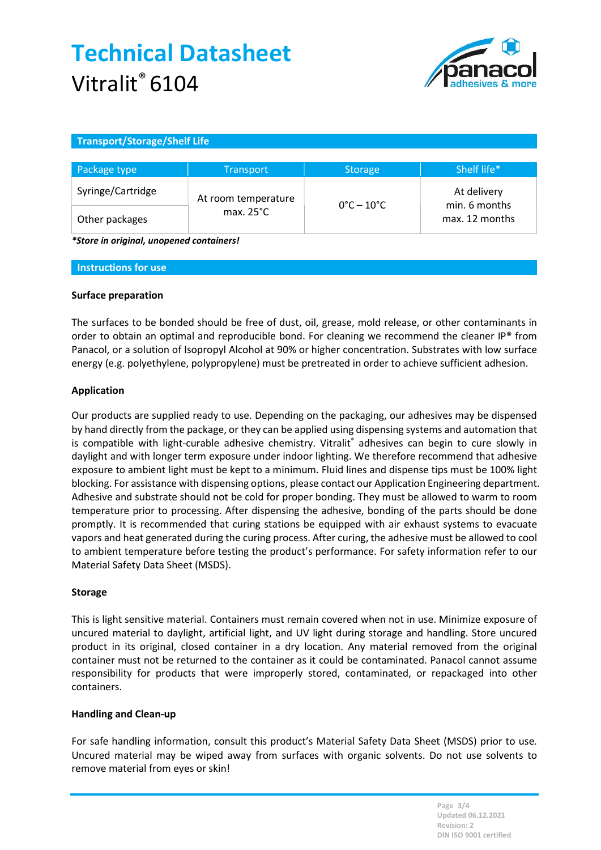# Technical Datasheet Vitralit® 6104



### Transport/Storage/Shelf Life

| Package type      | <b>Transport</b>    | <b>Storage</b>                  | Shelf life*                                    |
|-------------------|---------------------|---------------------------------|------------------------------------------------|
| Syringe/Cartridge | At room temperature | $0^{\circ}$ C – 10 $^{\circ}$ C | At delivery<br>min. 6 months<br>max. 12 months |
| Other packages    | max. $25^{\circ}$ C |                                 |                                                |

\*Store in original, unopened containers!

#### Instructions for use

### Surface preparation

The surfaces to be bonded should be free of dust, oil, grease, mold release, or other contaminants in order to obtain an optimal and reproducible bond. For cleaning we recommend the cleaner IP® from Panacol, or a solution of Isopropyl Alcohol at 90% or higher concentration. Substrates with low surface energy (e.g. polyethylene, polypropylene) must be pretreated in order to achieve sufficient adhesion.

### Application

Our products are supplied ready to use. Depending on the packaging, our adhesives may be dispensed by hand directly from the package, or they can be applied using dispensing systems and automation that is compatible with light-curable adhesive chemistry. Vitralit® adhesives can begin to cure slowly in daylight and with longer term exposure under indoor lighting. We therefore recommend that adhesive exposure to ambient light must be kept to a minimum. Fluid lines and dispense tips must be 100% light blocking. For assistance with dispensing options, please contact our Application Engineering department. Adhesive and substrate should not be cold for proper bonding. They must be allowed to warm to room temperature prior to processing. After dispensing the adhesive, bonding of the parts should be done promptly. It is recommended that curing stations be equipped with air exhaust systems to evacuate vapors and heat generated during the curing process. After curing, the adhesive must be allowed to cool to ambient temperature before testing the product's performance. For safety information refer to our Material Safety Data Sheet (MSDS).

### Storage

This is light sensitive material. Containers must remain covered when not in use. Minimize exposure of uncured material to daylight, artificial light, and UV light during storage and handling. Store uncured product in its original, closed container in a dry location. Any material removed from the original container must not be returned to the container as it could be contaminated. Panacol cannot assume responsibility for products that were improperly stored, contaminated, or repackaged into other containers.

### Handling and Clean-up

For safe handling information, consult this product's Material Safety Data Sheet (MSDS) prior to use. Uncured material may be wiped away from surfaces with organic solvents. Do not use solvents to remove material from eyes or skin!